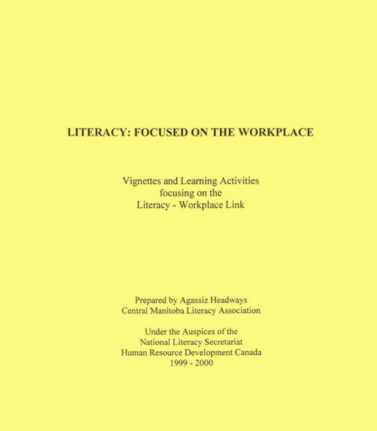# **LITERACY: FOCUSED ON THE WORKPLACE**

Vignettes and Learning Activities focusing on the Literacy - Workplace Link

Prepared by Agassiz Headways Central Manitoba Literacy Association

Under the Auspices of the National Literacy Secretariat Human Resource Development Canada 1999 - 2000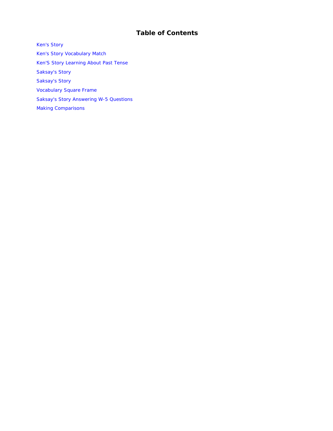## **Table of Contents**

[Ken's Story](#page-2-0)  [Ken's Story Vocabulary Match](#page-4-0)  [Ken'S Story Learning About Past Tense](#page-5-0)  [Saksay's Story](#page-6-0)  [Saksay's Story](#page-8-0)  [Vocabulary Square Frame](#page-9-0)  [Saksay's Story Answering W-5 Questions](#page-10-0)  [Making Comparisons](#page-11-0)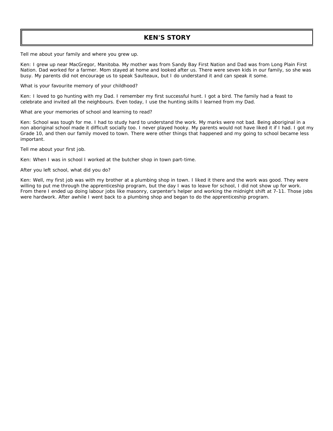### **KEN'S STORY**

<span id="page-2-0"></span>*Tell me about your family and where you grew up.* 

Ken: I grew up near MacGregor, Manitoba. My mother was from Sandy Bay First Nation and Dad was from Long Plain First Nation. Dad worked for a farmer. Mom stayed at home and looked after us. There were seven kids in our family, so she was busy. My parents did not encourage us to speak Saulteaux, but I do understand it and can speak it some.

### *What is your favourite memory of your childhood?*

Ken: I loved to go hunting with my Dad. I remember my first successful hunt. I got a bird. The family had a feast to celebrate and invited all the neighbours. Even today, I use the hunting skills I learned from my Dad.

### *What are your memories of school and learning to read?*

Ken: School was tough for me. I had to study hard to understand the work. My marks were not bad. Being aboriginal in a non aboriginal school made it difficult socially too. I never played hooky. My parents would not have liked it if I had. I got my Grade 10, and then our family moved to town. There were other things that happened and my going to school became less important.

*Tell me about your first job.* 

Ken: When I was in school I worked at the butcher shop in town part-time.

### *After you left school, what did you do?*

Ken: Well, my first job was with my brother at a plumbing shop in town. I liked it there and the work was good. They were willing to put me through the apprenticeship program, but the day I was to leave for school, I did not show up for work. From there I ended up doing labour jobs like masonry, carpenter's helper and working the midnight shift at 7-11. Those jobs were hardwork. After awhile I went back to a plumbing shop and began to do the apprenticeship program.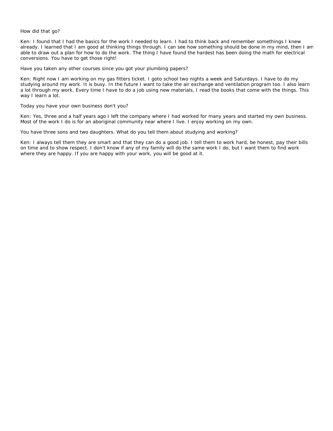#### *How did that go?*

Ken: I found that I had the basics for the work I needed to learn. I had to think back and remember somethings I knew already. I learned that I am good at thinking things through. I can see how something should be done in my mind, then I am able to draw out a plan for how to do the work. The thing I have found the hardest has been doing the math for electrical conversions. You have to get those right!

#### *Have you taken any other courses since you got your plumbing papers?*

Ken: Right now I am working on my gas fitters ticket. I goto school two nights a week and Saturdays. I have to do my studying around my work. It is busy. In the future I want to take the air exchange and ventilation program too. I also learn a lot through my work. Every time I have to do a job using new materials, I read the books that come with the things. This way I learn a lot.

#### *Today you have your own business don't you?*

Ken: Yes, three and a half years ago I left the company where I had worked for many years and started my own business. Most of the work I do is for an aboriginal community near where I live. I enjoy working on my own.

#### *You have three sons and two daughters. What do you tell them about studying and working?*

Ken: I always tell them they are smart and that they can do a good job. I tell them to work hard, be honest, pay their bills on time and to show respect. I don't know if any of my family will do the same work I do, but I want them to find work where they are happy. If you are happy with your work, you will be good at it.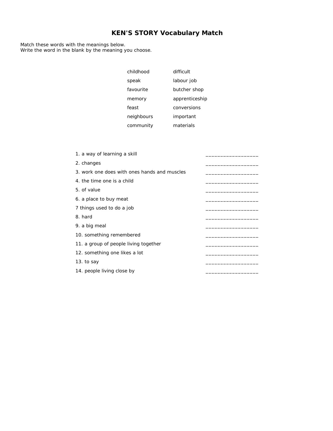## **KEN'S STORY Vocabulary Match**

<span id="page-4-0"></span>Match these words with the meanings below. Write the word in the blank by the meaning you choose.

| childhood  | difficult      |
|------------|----------------|
| speak      | labour job     |
| favourite  | butcher shop   |
| memory     | apprenticeship |
| feast      | conversions    |
| neighbours | important      |
| community  | materials      |

| 1. a way of learning a skill                 |  |
|----------------------------------------------|--|
| 2. changes                                   |  |
| 3. work one does with ones hands and muscles |  |
| 4. the time one is a child                   |  |
| 5. of value                                  |  |
| 6. a place to buy meat                       |  |
| 7 things used to do a job                    |  |
| 8. hard                                      |  |
| 9. a big meal                                |  |
| 10. something remembered                     |  |
| 11. a group of people living together        |  |
| 12. something one likes a lot                |  |
| 13. to say                                   |  |
| 14. people living close by                   |  |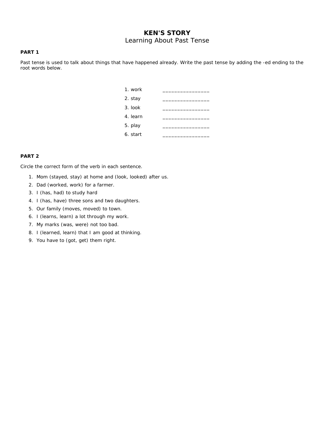## **KEN'S STORY**  Learning About Past Tense

### <span id="page-5-0"></span>**PART 1**

Past tense is used to talk about things that have happened already. Write the past tense by adding the -ed ending to the root words below.

| 1. work  |  |  |  |
|----------|--|--|--|
| 2. stay  |  |  |  |
| 3. look  |  |  |  |
| 4. learn |  |  |  |
| 5. play  |  |  |  |
| 6. start |  |  |  |

### **PART 2**

Circle the correct form of the verb in each sentence.

- 1. Mom (stayed, stay) at home and (look, looked) after us.
- 2. Dad (worked, work) for a farmer.
- 3. I (has, had) to study hard
- 4. I (has, have) three sons and two daughters.
- 5. Our family (moves, moved) to town.
- 6. I (learns, learn) a lot through my work.
- 7. My marks (was, were) not too bad.
- 8. I (learned, learn) that I am good at thinking.
- 9. You have to (got, get) them right.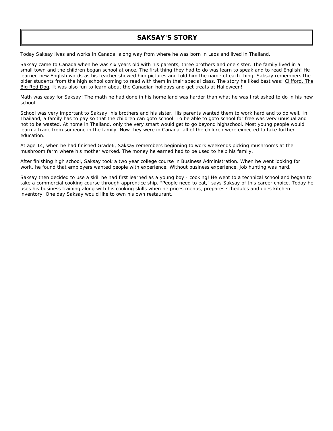### **SAKSAY'S STORY**

<span id="page-6-0"></span>Today Saksay lives and works in Canada, along way from where he was born in Laos and lived in Thailand.

Saksay came to Canada when he was six years old with his parents, three brothers and one sister. The family lived in a small town and the children began school at once. The first thing they had to do was learn to speak and to read English! He learned new English words as his teacher showed him pictures and told him the name of each thing. Saksay remembers the older students from the high school coming to read with them in their special class. The story he liked best was: Clifford, The Big Red Dog. It was also fun to learn about the Canadian holidays and get treats at Halloween!

Math was easy for Saksay! The math he had done in his home land was harder than what he was first asked to do in his new school.

School was very important to Saksay, his brothers and his sister. His parents wanted them to work hard and to do well. In Thailand, a family has to pay so that the children can goto school. To be able to goto school for free was very unusual and not to be wasted. At home in Thailand, only the very smart would get to go beyond highschool. Most young people would learn a trade from someone in the family. Now they were in Canada, all of the children were expected to take further education.

At age 14, when he had finished Grade6, Saksay remembers beginning to work weekends picking mushrooms at the mushroom farm where his mother worked. The money he earned had to be used to help his family.

After finishing high school, Saksay took a two year college course in Business Administration. When he went looking for work, he found that employers wanted people with experience. Without business experience, job hunting was hard.

Saksay then decided to use a skill he had first learned as a young boy - cooking! He went to a technical school and began to take a commercial cooking course through apprentice ship. "People need to eat," says Saksay of this career choice. Today he uses his business training along with his cooking skills when he prices menus, prepares schedules and does kitchen inventory. One day Saksay would like to own his own restaurant.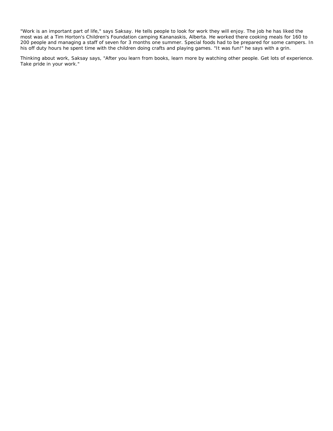"Work is an important part of life," says Saksay. He tells people to look for work they will enjoy. The job he has liked the most was at a Tim Horton's Children's Foundation camping Kananaskis, Alberta. He worked there cooking meals for 160 to 200 people and managing a staff of seven for 3 months one summer. Special foods had to be prepared for some campers. In his off duty hours he spent time with the children doing crafts and playing games. "It was fun!" he says with a grin.

Thinking about work, Saksay says, "After you learn from books, learn more by watching other people. Get lots of experience. Take pride in your work."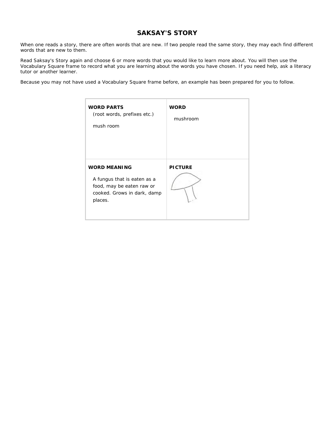## **SAKSAY'S STORY**

<span id="page-8-0"></span>When one reads a story, there are often words that are new. If two people read the same story, they may each find different words that are new to them.

Read Saksay's Story again and choose 6 or more words that you would like to learn more about. You will then use the Vocabulary Square frame to record what you are learning about the words you have chosen. If you need help, ask a literacy tutor or another learner.

Because you may not have used a Vocabulary Square frame before, an example has been prepared for you to follow.

| <b>WORD PARTS</b><br>(root words, prefixes etc.)<br>mush room                                                             | <b>WORD</b><br>mushroom |
|---------------------------------------------------------------------------------------------------------------------------|-------------------------|
| <b>WORD MEANING</b><br>A fungus that is eaten as a<br>food, may be eaten raw or<br>cooked. Grows in dark, damp<br>places. | <b>PICTURE</b>          |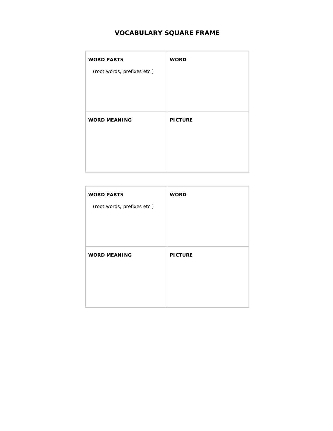## **VOCABULARY SQUARE FRAME**

<span id="page-9-0"></span>

| <b>WORD PARTS</b>           | <b>WORD</b>    |
|-----------------------------|----------------|
| (root words, prefixes etc.) |                |
|                             |                |
|                             |                |
| <b>WORD MEANING</b>         | <b>PICTURE</b> |
|                             |                |
|                             |                |
|                             |                |
|                             |                |

| <b>WORD PARTS</b>           | <b>WORD</b>    |
|-----------------------------|----------------|
| (root words, prefixes etc.) |                |
|                             |                |
|                             |                |
|                             |                |
| <b>WORD MEANING</b>         | <b>PICTURE</b> |
|                             |                |
|                             |                |
|                             |                |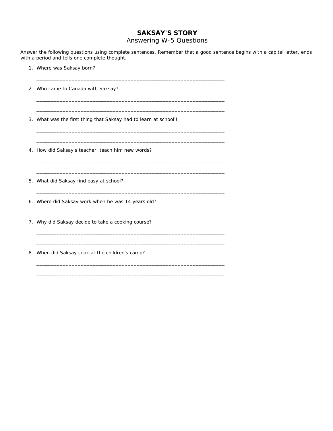### **SAKSAY'S STORY**

### Answering W-5 Questions

<span id="page-10-0"></span>Answer the following questions using complete sentences. Remember that a good sentence begins with a capital letter, ends with a period and tells one complete thought.

- 1. Where was Saksay born?
- 2. Who came to Canada with Saksay?
- 3. What was the first thing that Saksay had to learn at school'!

\_\_\_\_\_\_\_\_\_\_\_\_\_\_\_\_\_\_\_\_\_\_\_\_\_\_\_\_\_\_\_\_\_\_\_\_\_\_\_\_\_\_\_\_\_\_\_\_\_\_\_\_\_\_\_\_\_\_\_\_\_\_\_\_

\_\_\_\_\_\_\_\_\_\_\_\_\_\_\_\_\_\_\_\_\_\_\_\_\_\_\_\_\_\_\_\_\_\_\_\_\_\_\_\_\_\_\_\_\_\_\_\_\_\_\_\_\_\_\_\_\_\_\_\_\_\_\_\_ \_\_\_\_\_\_\_\_\_\_\_\_\_\_\_\_\_\_\_\_\_\_\_\_\_\_\_\_\_\_\_\_\_\_\_\_\_\_\_\_\_\_\_\_\_\_\_\_\_\_\_\_\_\_\_\_\_\_\_\_\_\_\_\_

\_\_\_\_\_\_\_\_\_\_\_\_\_\_\_\_\_\_\_\_\_\_\_\_\_\_\_\_\_\_\_\_\_\_\_\_\_\_\_\_\_\_\_\_\_\_\_\_\_\_\_\_\_\_\_\_\_\_\_\_\_\_\_\_ \_\_\_\_\_\_\_\_\_\_\_\_\_\_\_\_\_\_\_\_\_\_\_\_\_\_\_\_\_\_\_\_\_\_\_\_\_\_\_\_\_\_\_\_\_\_\_\_\_\_\_\_\_\_\_\_\_\_\_\_\_\_\_\_

\_\_\_\_\_\_\_\_\_\_\_\_\_\_\_\_\_\_\_\_\_\_\_\_\_\_\_\_\_\_\_\_\_\_\_\_\_\_\_\_\_\_\_\_\_\_\_\_\_\_\_\_\_\_\_\_\_\_\_\_\_\_\_\_ \_\_\_\_\_\_\_\_\_\_\_\_\_\_\_\_\_\_\_\_\_\_\_\_\_\_\_\_\_\_\_\_\_\_\_\_\_\_\_\_\_\_\_\_\_\_\_\_\_\_\_\_\_\_\_\_\_\_\_\_\_\_\_\_

\_\_\_\_\_\_\_\_\_\_\_\_\_\_\_\_\_\_\_\_\_\_\_\_\_\_\_\_\_\_\_\_\_\_\_\_\_\_\_\_\_\_\_\_\_\_\_\_\_\_\_\_\_\_\_\_\_\_\_\_\_\_\_\_

\_\_\_\_\_\_\_\_\_\_\_\_\_\_\_\_\_\_\_\_\_\_\_\_\_\_\_\_\_\_\_\_\_\_\_\_\_\_\_\_\_\_\_\_\_\_\_\_\_\_\_\_\_\_\_\_\_\_\_\_\_\_\_\_

\_\_\_\_\_\_\_\_\_\_\_\_\_\_\_\_\_\_\_\_\_\_\_\_\_\_\_\_\_\_\_\_\_\_\_\_\_\_\_\_\_\_\_\_\_\_\_\_\_\_\_\_\_\_\_\_\_\_\_\_\_\_\_\_ \_\_\_\_\_\_\_\_\_\_\_\_\_\_\_\_\_\_\_\_\_\_\_\_\_\_\_\_\_\_\_\_\_\_\_\_\_\_\_\_\_\_\_\_\_\_\_\_\_\_\_\_\_\_\_\_\_\_\_\_\_\_\_\_

\_\_\_\_\_\_\_\_\_\_\_\_\_\_\_\_\_\_\_\_\_\_\_\_\_\_\_\_\_\_\_\_\_\_\_\_\_\_\_\_\_\_\_\_\_\_\_\_\_\_\_\_\_\_\_\_\_\_\_\_\_\_\_\_ \_\_\_\_\_\_\_\_\_\_\_\_\_\_\_\_\_\_\_\_\_\_\_\_\_\_\_\_\_\_\_\_\_\_\_\_\_\_\_\_\_\_\_\_\_\_\_\_\_\_\_\_\_\_\_\_\_\_\_\_\_\_\_\_

- 4. How did Saksay's teacher, teach him new words?
- 5. What did Saksay find easy at school?
- 6. Where did Saksay work when he was 14 years old?
- 7. Why did Saksay decide to take a cooking course?
- 8. When did Saksay cook at the children's camp?